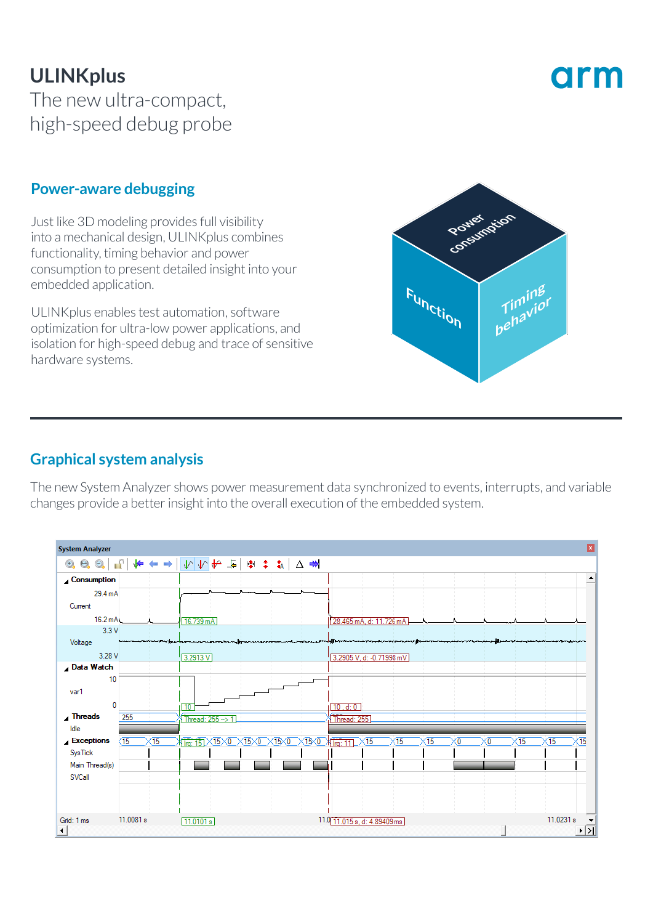## **ULINKplus** The new ultra-compact, high-speed debug probe

# orm

#### **Power-aware debugging**

Just like 3D modeling provides full visibility into a mechanical design, ULINKplus combines functionality, timing behavior and power consumption to present detailed insight into your embedded application.

ULINKplus enables test automation, software optimization for ultra-low power applications, and isolation for high-speed debug and trace of sensitive hardware systems.



#### **Graphical system analysis**

The new System Analyzer shows power measurement data synchronized to events, interrupts, and variable changes provide a better insight into the overall execution of the embedded system.